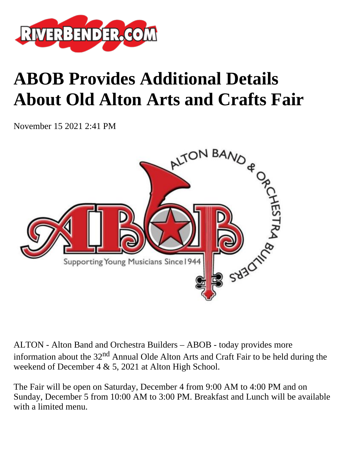

## **ABOB Provides Additional Details About Old Alton Arts and Crafts Fair**

November 15 2021 2:41 PM



ALTON - Alton Band and Orchestra Builders – ABOB - today provides more information about the  $32<sup>nd</sup>$  Annual Olde Alton Arts and Craft Fair to be held during the weekend of December 4 & 5, 2021 at Alton High School.

The Fair will be open on Saturday, December 4 from 9:00 AM to 4:00 PM and on Sunday, December 5 from 10:00 AM to 3:00 PM. Breakfast and Lunch will be available with a limited menu.